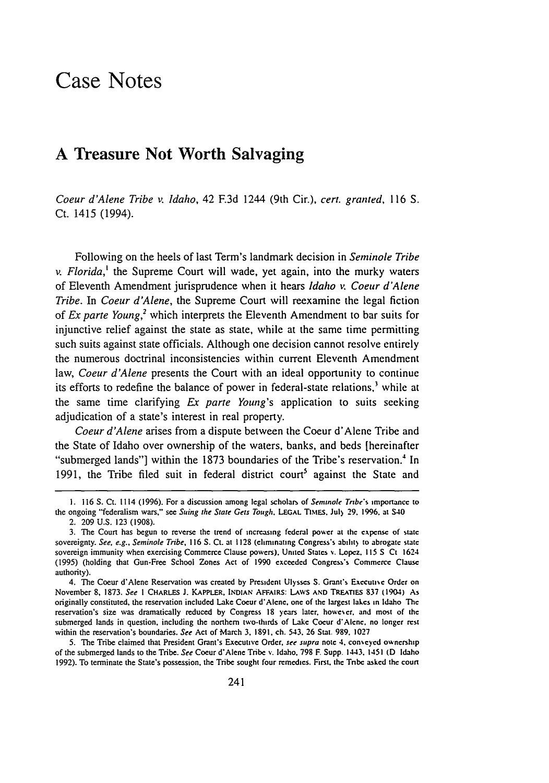## Case Notes

## **A** Treasure Not Worth Salvaging

*Coeur d'Alene Tribe v. Idaho,* 42 **F.3d** 1244 (9th Cir.), *cert. granted,* 116 **S.** Ct. 1415 (1994).

Following on the heels of last Term's landmark decision in *Seminole Tribe v. Florida,'* the Supreme Court will wade, yet again, into the murky waters of Eleventh Amendment jurisprudence when it hears *Idaho v. Coeur d'Alene Tribe.* In *Coeur d'Alene,* the Supreme Court will reexamine the legal fiction of *Ex parte Young,2* which interprets the Eleventh Amendment to bar suits for injunctive relief against the state as state, while at the same time permitting such suits against state officials. Although one decision cannot resolve entirely the numerous doctrinal inconsistencies within current Eleventh Amendment law, *Coeur d'Alene* presents the Court with an ideal opportunity to continue its efforts to redefine the balance of power in federal-state relations,<sup>3</sup> while at the same time clarifying Ex parte *Young's* application to suits seeking adjudication of a state's interest in real property.

*Coeur d'Alene* arises from a dispute between the Coeur d'Alene Tribe and the State of Idaho over ownership of the waters, banks, and beds [hereinafter "submerged lands"] within the 1873 boundaries of the Tribe's reservation.' In 1991, the Tribe filed suit in federal district court<sup>5</sup> against the State and

5. The Tribe claimed that President Grant's Executive Order. *see supra* note 4. con.eyed ownership of the submerged lands to the Tribe. *See* Coeur d'Alene Tribe **v.** Idaho. 798 **F.** Supp. 1443. 1451 (D Idaho 1992). To terminate the State's possession, the Tribe sought four remedies. First. the Tnbe **asked** the court

<sup>1.</sup> **116 S.** Ct. 1114 **(1996).** For a discussion among legal scholars of *Seminole Tribe's* importance to the ongoing "'federalism wars," see Suing the *State Gets* Tough. **LEGAL TIstEs.** Jul) 29. 1996. at S40

<sup>2. 209</sup> U.S. 123 (1908).

**<sup>3.</sup>** The Court has begun to reverse the trend **of** increasing federal **po'er at** the **expense** of state sovereignty. See, e.g., Seminole Tribe, 116 S. Ct. at 1128 (eliminating Congress's ability to abrogate state sovereign immunity when exercising Commerce Clause powers). United States **V.** Lopez. 115 **S Ct** 1624 (1995) (holding that Gun-Free School Zones Act of 1990 exceeded Congress's Commerce Clause authority).

<sup>4.</sup> The Coeur d'Alene Reservation was created **by** President Ulysses S. Grant's Exccuue Order on November 8, 1873. *See* I CHARLES **J.** KAPPLFR. **INDIAN** AFFAIRS: **LAwS AND** TREAnES **837** (1904) **As** originally constituted, the reservation included Lake Coeur d'Alene. one of the largest lakes in Idaho The reservation's size was dramatically reduced by Congress 18 **years** later. howecr, and most of the submerged lands in question, including the northem two-thirds of Lake Coeur d'Alene. **no** longer rest within the reservation's boundaries. *See* Act of March **3. 1891.** ch. 543. 26 Stat. **989.** 1027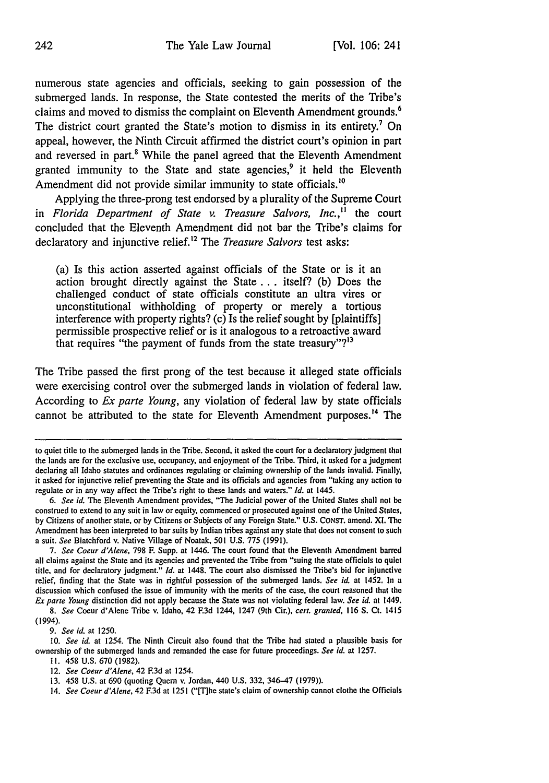numerous state agencies and officials, seeking to gain possession of the submerged lands. In response, the State contested the merits of the Tribe's claims and moved to dismiss the complaint on Eleventh Amendment grounds.<sup>6</sup> The district court granted the State's motion to dismiss in its entirety.<sup>7</sup> On appeal, however, the Ninth Circuit affirmed the district court's opinion in part and reversed in part.<sup>8</sup> While the panel agreed that the Eleventh Amendment granted immunity to the State and state agencies,<sup>9</sup> it held the Eleventh Amendment did not provide similar immunity to state officials.<sup>10</sup>

Applying the three-prong test endorsed **by** a plurality of the Supreme Court in *Florida Department of State v. Treasure Salvors, Inc.,"* the court concluded that the Eleventh Amendment did not bar the Tribe's claims for declaratory and injunctive relief.'2 The *Treasure Salvors* test asks:

(a) Is this action asserted against officials of the State or is it an action brought directly against the State **...** itself? **(b)** Does the challenged conduct of state officials constitute an ultra vires or unconstitutional withholding of property or merely a tortious interference with property rights? (c) Is the relief sought **by** [plaintiffs] permissible prospective relief or is it analogous to a retroactive award that requires "the payment of funds from the state treasury"?13

The Tribe passed the first prong of the test because it alleged state officials were exercising control over the submerged lands in violation of federal law. According to *Ex parte Young,* any violation of federal law **by** state officials cannot be attributed to the state for Eleventh Amendment purposes.<sup>14</sup> The

*7. See Coeur d'Alene,* 798 F. Supp. at 1446. The court found that the Eleventh Amendment barred all claims against the State and its agencies and prevented the Tribe from "suing the state officials to quiet title, and for declaratory judgment." *Id.* at 1448. The court also dismissed the Tribe's bid for injunctive relief, finding that the State was in rightful possession of the submerged lands. *See id.* at 1452, In a discussion which confused the issue of immunity with the merits of the case, the court reasoned that the *Ex* parte *Young* distinction did not apply because the State was not violating federal law. *See id.* at 1449.

*8. See* Coeur d'Alene Tribe v. Idaho, 42 F.3d 1244, 1247 (9th Cir.), *cert, granted,* 116 S. Ct. 1415 (1994).

*9. See id.* at 1250.

to quiet title to the submerged lands in the Tribe. Second, it asked the court for a declaratory judgment that the lands are for the exclusive use, occupancy, and enjoyment of the Tribe. Third, it asked for a judgment declaring all Idaho statutes and ordinances regulating or claiming ownership of the lands invalid. Finally, it asked for injunctive relief preventing the State and its officials and agencies from "taking any action to regulate or in any way affect the Tribe's right to these lands and waters." *Id.* at 1445.

*<sup>6.</sup> See id.* The Eleventh Amendment provides, "The Judicial power of the United States shall not be construed to extend to any suit in law or equity, commenced or prosecuted against one of the United States, by Citizens of another state, or by Citizens or Subjects of any Foreign State." U.S. CONST. amend. Xl. **The** Amendment has been interpreted to bar suits by Indian tribes against any state that does not consent to such a suit. *See* Blatchford v. Native Village of Noatak, 501 U.S. 775 (1991).

*<sup>10.</sup> See id.* at 1254. The Ninth Circuit also found that the Tribe had stated a plausible basis for ownership of the submerged lands and remanded the case for future proceedings. *See id.* at 1257.

**I1.** 458 U.S. 670 (1982).

<sup>12.</sup> *See Coeur d'Alene,* 42 *F.3d* at 1254.

<sup>13. 458</sup> U.S. at 690 (quoting Quem v. Jordan, 440 U.S. 332, 346-47 (1979)).

<sup>14.</sup> *See Coeur d'Alene,* 42 **F.3d** at 1251 ("[T]he state's claim of ownership cannot clothe the Officials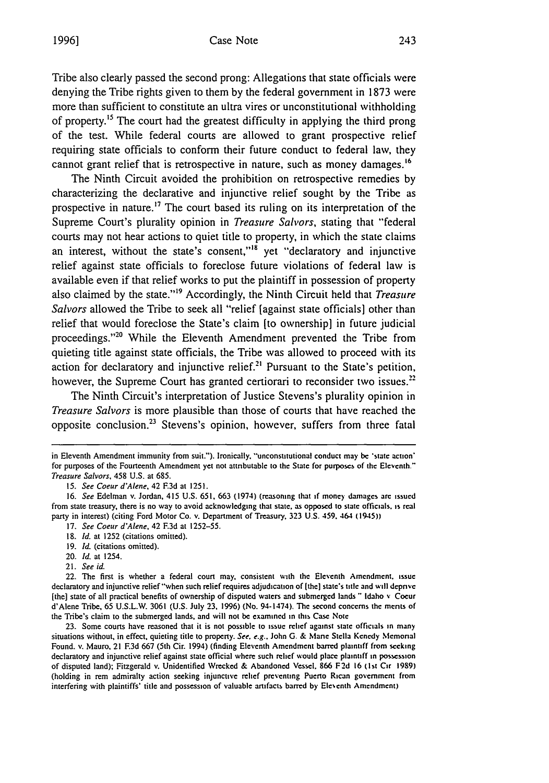## Case Note

Tribe also clearly passed the second prong: Allegations that state officials were denying the Tribe rights given to them by the federal government in 1873 were more than sufficient to constitute an ultra vires or unconstitutional withholding of property.<sup>15</sup> The court had the greatest difficulty in applying the third prong of the test. While federal courts are allowed to grant prospective relief requiring state officials to conform their future conduct to federal law, they cannot grant relief that is retrospective in nature, such as money damages.<sup>16</sup>

The Ninth Circuit avoided the prohibition on retrospective remedies by characterizing the declarative and injunctive relief sought by the Tribe as prospective in nature. **' <sup>7</sup>**The court based its ruling on its interpretation of the Supreme Court's plurality opinion in *Treasure Salvors,* stating that "federal courts may not hear actions to quiet title to property, in which the state claims an interest, without the state's consent,"<sup>18</sup> yet "declaratory and injunctive relief against state officials to foreclose future violations of federal law is available even if that relief works to put the plaintiff in possession of property also claimed by the state."<sup>19</sup> Accordingly, the Ninth Circuit held that *Treasure Salvors* allowed the Tribe to seek all "relief [against state officials] other than relief that would foreclose the State's claim (to ownership] in future judicial proceedings."<sup>20</sup> While the Eleventh Amendment prevented the Tribe from quieting title against state officials, the Tribe was allowed to proceed with its action for declaratory and injunctive relief.<sup>21</sup> Pursuant to the State's petition, however, the Supreme Court has granted certiorari to reconsider two issues. $22$ 

The Ninth Circuit's interpretation of Justice Stevens's plurality opinion in *Treasure Salvors* is more plausible than those of courts that have reached the opposite conclusion.<sup>23</sup> Stevens's opinion, however, suffers from three fatal

- 17. *See* Coeur d'Alene, 42 F.3d at 1252-55.
- 18. *Id.* at 1252 (citations omitted).
- 19. *Id.* (citations omitted).
- 20. *Id.* at 1254.
- 21. *See id.*

22. The first is whether a federal court may, consistent with the Eleventh Amendment. issue declaratory and injunctive relief"when such relief requires adjudication of [the] state's title and will deprive [the] state of all practical benefits of ownership of disputed waters and submerged lands " Idaho v Coeur d'Alene Tribe, 65 U.S.L.W. 3061 (U.S. July **23,** 1996) (No. 94-1474). The second concerns the merits of the Tribe's claim to the submerged lands, and will not be examined in thts Case Note

**23.** Some courts have reasoned that it is not possible to issue relief against state officials in many situations without, in effect, quieting title to property. *See. e.g..* John **G.** & Mane Stella Kenedy Memorial Found. v. Mauro, 21 F.3d 667 (5th Cir. 1994) (finding Eleventh Amendment barred plaintiff from seeking declaratory and injunctive relief against state official where such relief would place plaintiff in possession of disputed land); Fitzgerald v. Unidentified Wrecked & Abandoned Vessel. 866 F2d 16 **(1st** Cir 1989) (holding in rem admiralty action seeking injunctive relief preventing Puerto Rican government from interfering with plaintiffs' title and possession of valuable artifacts barred **by** Eleventh Amendment)

in Eleventh Amendment immunity from suit."). Ironically. "unconstttutional conduct may be 'state action' for purposes of the Fourteenth Amendment yet not attributable to the State for purposes of the Eleventh." Treasure Salvors, 458 U.S. at 685.

<sup>15.</sup> See Coeur d'Alene, 42 F.3d at 1251.

<sup>16.</sup> See Edelman v. Jordan, 415 U.S. **651.** 663 (1974) (reasoning that if money damages are issued from state treasury, there is no way to avoid acknowledging that state, as opposed to state officials, is real party in interest) (citing Ford Motor Co. v. Department of Treasury, 323 U.S. 459, 464 (1945))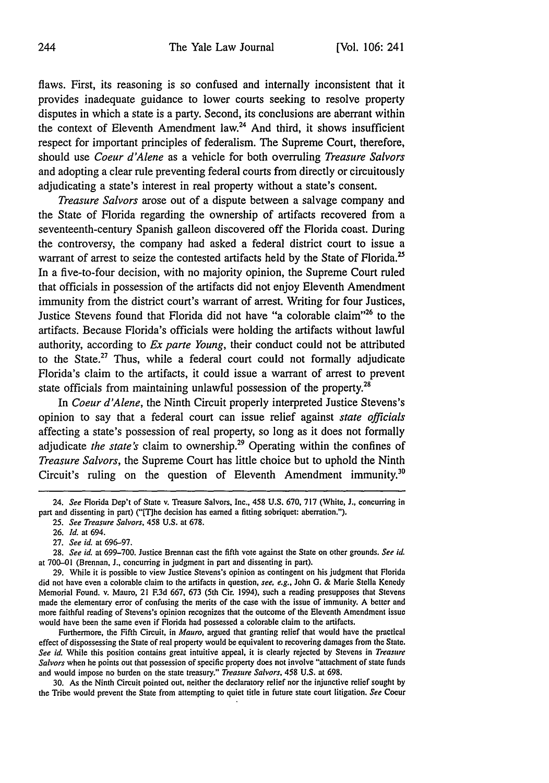flaws. First, its reasoning is so confused and internally inconsistent that it provides inadequate guidance to lower courts seeking to resolve property disputes in which a state is a party. Second, its conclusions are aberrant within the context of Eleventh Amendment law. $24$  And third, it shows insufficient respect for important principles of federalism. The Supreme Court, therefore, should use *Coeur d'Alene* as a vehicle for both overruling *Treasure Salvors* and adopting a clear rule preventing federal courts from directly or circuitously adjudicating a state's interest in real property without a state's consent.

*Treasure Salvors* arose out of a dispute between a salvage company and the State of Florida regarding the ownership of artifacts recovered from a seventeenth-century Spanish galleon discovered off the Florida coast. During the controversy, the company had asked a federal district court to issue a warrant of arrest to seize the contested artifacts held by the State of Florida.<sup>25</sup> In a five-to-four decision, with no majority opinion, the Supreme Court ruled that officials in possession of the artifacts did not enjoy Eleventh Amendment immunity from the district court's warrant of arrest. Writing for four Justices, Justice Stevens found that Florida did not have "a colorable claim"26 to the artifacts. Because Florida's officials were holding the artifacts without lawful authority, according to *Ex parte Young,* their conduct could not be attributed to the State. $27$  Thus, while a federal court could not formally adjudicate Florida's claim to the artifacts, it could issue a warrant of arrest to prevent state officials from maintaining unlawful possession of the property. $^{28}$ 

In *Coeur d'Alene,* the Ninth Circuit properly interpreted Justice Stevens's opinion to say that a federal court can issue relief against *state officials* affecting a state's possession of real property, so long as it does not formally adjudicate *the state's* claim to ownership.<sup>29</sup> Operating within the confines of *Treasure Salvors,* the Supreme Court has little choice but to uphold the Ninth Circuit's ruling on the question of Eleventh Amendment immunity.<sup>30</sup>

Furthermore, the Fifth Circuit, in *Mauro,* argued that granting relief that would have the practical effect of dispossessing the State of real property would be equivalent to recovering damages from the State. *See id.* While this position contains great intuitive appeal, it is clearly rejected by Stevens in *Treasure Salvors* when he points out that possession of specific property does not involve "attachment of state funds and would impose no burden on the state treasury." *Treasure Salvors,* 458 U.S. at 698.

30. As the Ninth Circuit pointed out, neither the declaratory relief nor the injunctive relief sought by the Tribe would prevent the State from attempting to quiet title in future state court litigation. *See* Coeur

<sup>24.</sup> *See* Florida Dep't of State v. Treasure Salvors, Inc., 458 U.S. **670,** 717 (White, **J.,** concurring in part and dissenting in part) ("[T]he decision has earned a fitting sobriquet: aberration.").

*<sup>25.</sup> See Treasure Salvors,* 458 U.S. at 678.

<sup>26.</sup> *Id.* at 694.

<sup>27.</sup> *See id.* at 696-97.

<sup>28.</sup> *See id.* at 699-700. Justice Brennan cast the fifth vote against the State on other grounds. *See id.* at 700-01 (Brennan, J., concurring in judgment in part and dissenting in part).

<sup>29.</sup> While it is possible to view Justice Stevens's opinion as contingent on his judgment that Florida did not have even a colorable claim to the artifacts in question, *see, e.g.,* John G. & Marie Stella Kenedy Memorial Found. v. Mauro, 21 **F.3d** 667, 673 (5th Cir. 1994), such a reading presupposes that Stevens made the elementary error of confusing the merits of the case with the issue of immunity. A better and more faithful reading of Stevens's opinion recognizes that the outcome of the Eleventh Amendment issue would have been the same even if Florida had possessed a colorable claim to the artifacts.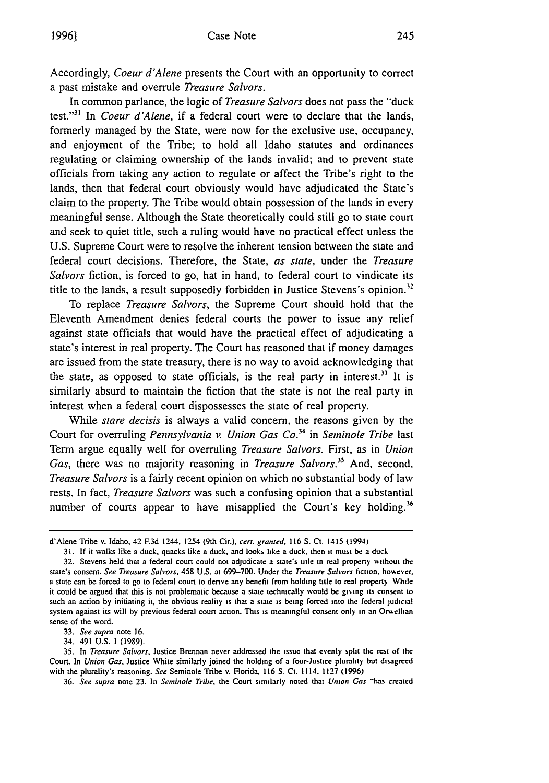Accordingly, Coeur *d'Alene* presents the Court with an opportunity to correct a past mistake and overrule *Treasure Salvors.*

In common parlance, the logic of *Treasure Salvors* does not pass the "duck" test."<sup>31</sup> In *Coeur d'Alene*, if a federal court were to declare that the lands, formerly managed by the State, were now for the exclusive use, occupancy, and enjoyment of the Tribe; to hold all Idaho statutes and ordinances regulating or claiming ownership of the lands invalid; and to prevent state officials from taking any action to regulate or affect the Tribe's right to the lands, then that federal court obviously would have adjudicated the State's claim to the property. The Tribe would obtain possession of the lands in every meaningful sense. Although the State theoretically could still go to state court and seek to quiet title, such a ruling would have no practical effect unless the U.S. Supreme Court were to resolve the inherent tension between the state and federal court decisions. Therefore, the State, *as state,* under the *Treasure Salvors* fiction, is forced to go, hat in hand, to federal court to vindicate its title to the lands, a result supposedly forbidden in Justice Stevens's opinion.<sup>32</sup>

To replace *Treasure* Salvors, the Supreme Court should hold that the Eleventh Amendment denies federal courts the power to issue any relief against state officials that would have the practical effect of adjudicating a state's interest in real property. The Court has reasoned that if money damages are issued from the state treasury, there is no way to avoid acknowledging that the state, as opposed to state officials, is the real party in interest.<sup>33</sup> It is similarly absurd to maintain the fiction that the state is not the real party in interest when a federal court dispossesses the state of real property.

While *stare decisis* is always a valid concern, the reasons given by the Court for overruling *Pennsylvania v. Union Gas Co.3* in *Seminole Tribe* last Term argue equally well for overruling *Treasure Salvors.* First, as in *Union Gas,* there was no majority reasoning in *Treasure Salors."* And, second, *Treasure Salvors* is a fairly recent opinion on which no substantial body of law rests. In fact, *Treasure Salvors* was such a confusing opinion that a substantial number of courts appear to have misapplied the Court's key holding.<sup>86</sup>

d'Alene Tribe v. Idaho, 42 F.3d 1244, 1254 (9th Cir.), cert. granted, 116 S. Ct. 1415 (1994)

<sup>31.</sup> If it walks like a duck, quacks like a duck, and looks like a duck. then **it** must be a duck

<sup>32.</sup> Stevens held that a federal court could not adjudicate a state's title in real property sithout the state's consent. *See Treasure Salvors,* 458 U.S. at 699-700. Under the *Treasure Sahars* fiction. hoy ever. a state can be forced to go to federal court to derive any benefit from holding title to real property While it could be argued that this is not problematic because a state technically would be giving its consent to such an action by initiating it, the obvious reality is that a state **is** being forced into the federal judicial system against its will by previous federal court action. This is meaningful consent only in an Orwellian sense of the word.

<sup>33.</sup> *See supra* note 16.

<sup>34. 491</sup> U.S. 1 (1989).

<sup>35.</sup> In *Treasure Salvors,* Justice Brennan never addressed the issue that evenly split the rest of the Court. In *Union Gas,* Justice White similarly joined the holding of a four-Justice plurality but disagreed with the plurality's reasoning. *See* Seminole Tribe v. Florida. 116 **S.** Ct. 1114. 1127 **(1996)**

<sup>36.</sup> *See supra* note 23. In *Seminole Tribe,* the Court similarly noted that *Union Gas "ha.* created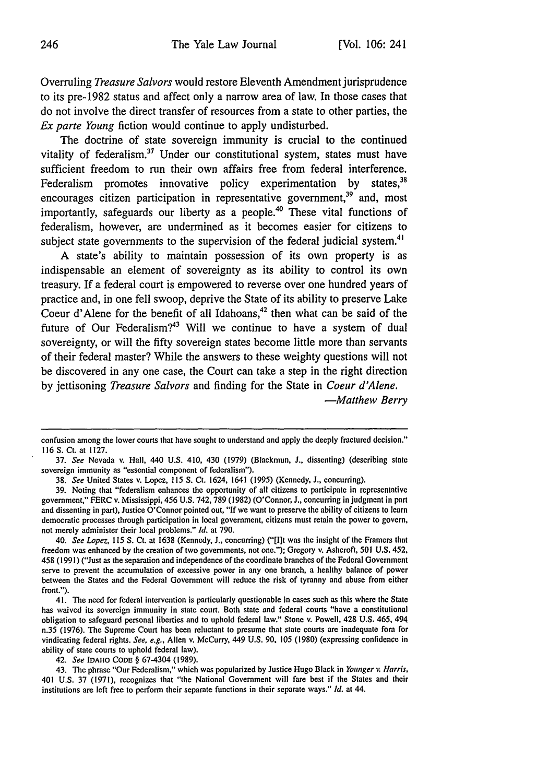Overruling *Treasure Salvors* would restore Eleventh Amendment jurisprudence to its pre-1982 status and affect only a narrow area of law. In those cases that do not involve the direct transfer of resources from a state to other parties, the *Ex parte Young* fiction would continue to apply undisturbed.

The doctrine of state sovereign immunity is crucial to the continued vitality of federalism.<sup>37</sup> Under our constitutional system, states must have sufficient freedom to run their own affairs free from federal interference. Federalism promotes innovative policy experimentation by states,<sup>38</sup> encourages citizen participation in representative government, $39$  and, most importantly, safeguards our liberty as a people.<sup>40</sup> These vital functions of federalism, however, are undermined as it becomes easier for citizens to subject state governments to the supervision of the federal judicial system.<sup>4</sup>

A state's ability to maintain possession of its own property is as indispensable an element of sovereignty as its ability to control its own treasury. If a federal court is empowered to reverse over one hundred years of practice and, in one fell swoop, deprive the State of its ability to preserve Lake Coeur d'Alene for the benefit of all Idahoans, 42 then what can be said of the future of Our Federalism?<sup>43</sup> Will we continue to have a system of dual sovereignty, or will the fifty sovereign states become little more than servants of their federal master? While the answers to these weighty questions will not be discovered in any one case, the Court can take a step in the right direction by jettisoning *Treasure Salvors* and finding for the State in *Coeur d'Alene.*

*-Matthew Berry*

42. *See* **IDAHO** CODE § 67-4304 (1989).

confusion among the lower courts that have sought to understand and apply the deeply fractured decision." 116 S. Ct. at 1127.

<sup>37.</sup> *See* Nevada v. Hall, 440 U.S. 410, 430 (1979) (Blackmun, J., dissenting) (describing state sovereign immunity as "essential component of federalism").

<sup>38.</sup> *See* United States v. Lopez, 115 S. Ct. 1624, 1641 (1995) (Kennedy, J., concurring).

<sup>39.</sup> Noting that "federalism enhances the opportunity of all citizens to participate in representative government," FERC v. Mississippi, 456 U.S. 742, 789 (1982) (O'Connor, J., concurring in judgment in part and dissenting in part), Justice O'Connor pointed out, "If we want to preserve the ability of citizens to learn democratic processes through participation in local government, citizens must retain the power to govern, not merely administer their local problems." *Id.* at 790.

<sup>40.</sup> *See Lopez,* 115 **S.** Ct. at 1638 (Kennedy, J., concurring) ("[I]t was the insight of the Framers that freedom was enhanced by the creation of two governments, not one."); Gregory v. Ashcroft, 501 U.S. 452, 458 (199 **1)** ("Just as the separation and independence of the coordinate branches of the Federal Government serve to prevent the accumulation of excessive power in any one branch, a healthy balance of power between the States and the Federal Government will reduce the risk of tyranny and abuse from either front.").

<sup>41.</sup> The need for federal intervention is particularly questionable in cases such as this where the State has waived its sovereign immunity in state court. Both state and federal courts "have a constitutional obligation to safeguard personal liberties and to uphold federal law." Stone v. Powell, 428 U.S. 465, 494 n.35 (1976). The Supreme Court has been reluctant to presume that state courts are inadequate fora for vindicating federal rights. *See, e.g.,* Allen v. McCurry, 449 U.S. **90,** 105 (1980) (expressing confidence in ability of state courts to uphold federal law).

<sup>43.</sup> The phrase "Our Federalism," which was popularized by Justice Hugo Black in *Younger v. Harris.* 401 U.S. 37 (1971), recognizes that "the National Government will fare best if the States and their institutions are left free to perform their separate functions in their separate ways." *Id.* at 44.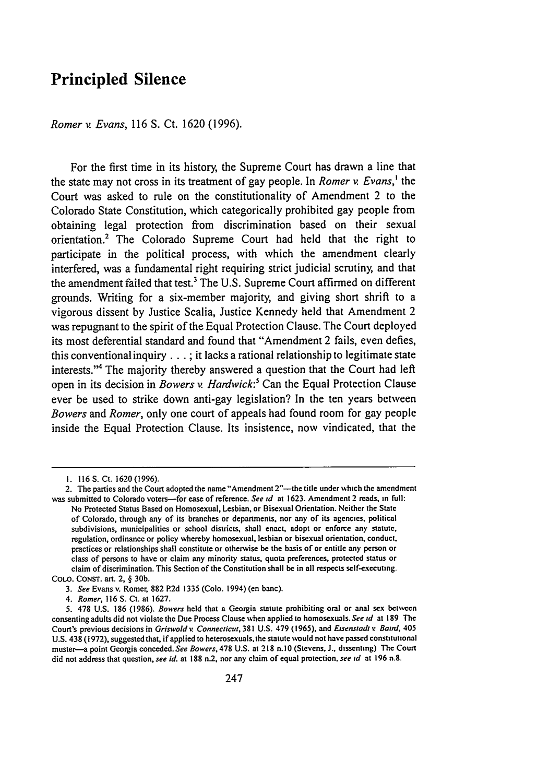## Principled Silence

*Romer v. Evans,* **116 S.** Ct. **1620 (1996).**

For the first time in its history, the Supreme Court has drawn a line that the state may not cross in its treatment of gay people. In *Romer v. Evans,' the* Court was asked to rule on the constitutionality of Amendment 2 to the Colorado State Constitution, which categorically prohibited gay people from obtaining legal protection from discrimination based on their sexual orientation.2 The Colorado Supreme Court had held that the right to participate in the political process, with which the amendment clearly interfered, was a fundamental right requiring strict judicial scrutiny, and that the amendment failed that test.3 The **U.S.** Supreme Court affirmed on different grounds. Writing for a six-member majority, and giving short shrift to a vigorous dissent **by** Justice Scalia, Justice Kennedy held that Amendment 2 was repugnant to the spirit of the Equal Protection Clause. The Court deployed its most deferential standard and found that "Amendment 2 fails, even defies, this conventional inquiry **... ;** it lacks a rational relationship to legitimate state interests."4 The majority thereby answered a question that the Court had left open in its decision in *Bowers v. Hardwick:5* Can the Equal Protection Clause ever be used to strike down anti-gay legislation? In the ten years between *Bowers and Romer,* only one court of appeals had found room for gay people inside the Equal Protection Clause. Its insistence, **now** vindicated, that the

**<sup>1. 116</sup>S.** Ct. **1620(1996).**

<sup>2.</sup> The parties and the Court adopted the name "Amendment 2"---the title under which the amendment was submitted to Colorado voters-for ease of reference. *See id* at **1623.** Amendment 2 reads, in full: No Protected Status Based on Homosexual, Lesbian, or Bisexual Orientation. Neither the State of Colorado, through any of its branches or departments, nor any of its agencies, political subdivisions, municipalities or school districts, shall enact, adopt or enforce any statute, regulation, ordinance or policy whereby homosexual, lesbian or bisexual orientation, conduct. practices or relationships shall constitute or otherwise be the basis of or entitle any person or class of persons to have or claim any minority status, quota preferences, protected status or claim of discrimination. This Section of the Constitution shall be in all respects self-executing. **COLO. CONST.** art. 2, **§ 30b.**

*<sup>3.</sup> See* Evans v. Romer, **882 P.2d 1335** (Colo. 1994) (en bane).

*<sup>4.</sup> Romer, 116* **S.** Ct. at **1627.**

**<sup>5. 478</sup> U.S. 186 (1986).** *Bowers* held that a Georgia statute prohibiting oral or anal **sex between** consenting adults did not violate the Due Process Clause when applied to homosexuals. *See id* at **189** The Court's previous decisions in *Griswold v. Connecticut,* **381 U.S. 479 (1965),** and *Eisenstadt %: Baud,* 405 **U.S.** 438 **(1972),** suggested that, if applied to heterosexuals, the statute would not have passed constitutional muster-a point Georgia conceded. *See Bowers,* **478 U.S.** at **218** n. **10** (Stevens, **J.,** dissenting) The Court did not address that question, *see id.* at **188** n.2, nor any claim of equal protection. *see id* at **196 n.8.**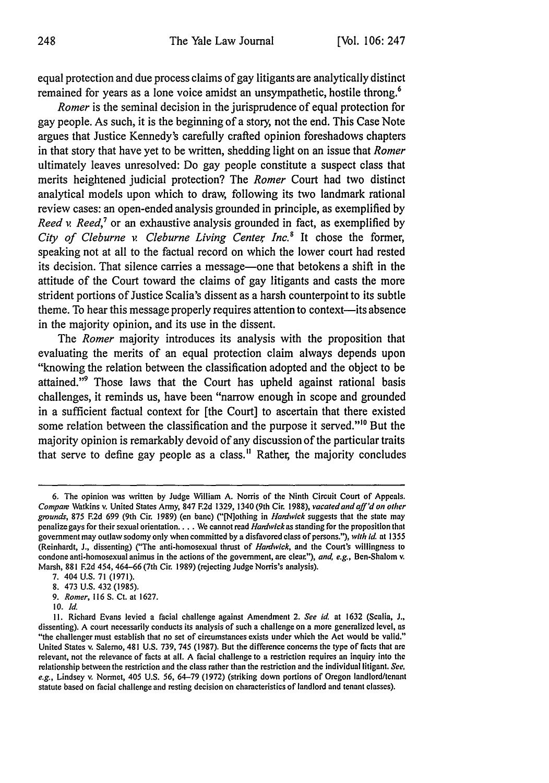equal protection and due process claims of gay litigants are analytically distinct remained for years as a lone voice amidst an unsympathetic, hostile throng.<sup>6</sup>

*Romer* is the seminal decision in the jurisprudence of equal protection for gay people. As such, it is the beginning of a story, not the end. This Case Note argues that Justice Kennedy's carefully crafted opinion foreshadows chapters in that story that have yet to be written, shedding light on an issue that *Romer* ultimately leaves unresolved: Do gay people constitute a suspect class that merits heightened judicial protection? The *Romer* Court had two distinct analytical models upon which to draw, following its two landmark rational review cases: an open-ended analysis grounded in principle, as exemplified by *Reed v. Reed,<sup>7</sup>* or an exhaustive analysis grounded in fact, as exemplified by *City of Cleburne v Cleburne Living Center, Inc.8* It chose the former, speaking not at all to the factual record on which the lower court had rested its decision. That silence carries a message—one that betokens a shift in the attitude of the Court toward the claims of gay litigants and casts the more strident portions of Justice Scalia's dissent as a harsh counterpoint to its subtle theme. To hear this message properly requires attention to context—its absence in the majority opinion, and its use in the dissent.

The *Romer* majority introduces its analysis with the proposition that evaluating the merits of an equal protection claim always depends upon "knowing the relation between the classification adopted and the object to be attained."9 Those laws that the Court has upheld against rational basis challenges, it reminds us, have been "narrow enough in scope and grounded in a sufficient factual context for [the Court] to ascertain that there existed some relation between the classification and the purpose it served."<sup>10</sup> But the majority opinion is remarkably devoid of any discussion of the particular traits that serve to define gay people as a class." Rather, the majority concludes

- 7. 404 U.S. 71 (1971).
- 8. 473 U.S. 432 (1985).
- *9. Romer,* 116 S. Ct. at 1627.
- **10.** *Id.*

<sup>6.</sup> The opinion was written **by** Judge William **A.** Norris of the Ninth Circuit Court of Appeals. *Compae* Watkins v. United States Army, 847 **F.2d** 1329, 1340 (9th Cir. 1988), *vacated and aff'd on other* grounds, 875 F.2d 699 (9th Cir. 1989) (en banc) ("[N]othing in *Hardwick* suggests that the state may penalizegays for their sexual orientation .... We cannot read *Hanwickas* standing for the proposition that government may outlaw sodomy only when committed by a disfavored class of persons."), *with Id.* at 1355 (Reinhardt, J., dissenting) ("The anti-homosexual thrust of *Hardwick,* and the Court's willingness to condone anti-homosexual animus in the actions of the government, are clear."), *and, e.g.*, Ben-Shalom v. Marsh, 881 **F.2d** 454, 464-66 (7th Cir. 1989) (rejecting Judge Norris's analysis).

II. Richard Evans levied a facial challenge against Amendment 2. *See id.* at 1632 (Scalia, **J.,** dissenting). A court necessarily conducts its analysis of such a challenge on a more generalized level, as "the challenger must establish that no set of circumstances exists under which the Act would be valid." United States v. Salerno, 481 U.S. 739, 745 (1987). But the difference concerns the type of facts that *are* relevant, not the relevance of facts at all. A facial challenge to a restriction requires an inquiry into the relationship between the restriction and the class rather than the restriction and the individual litigant. *See, e.g.,* Lindsey v. Normet, 405 U.S. 56, 64-79 (1972) (striking down portions of Oregon landlord/tenant statute based on facial challenge and resting decision on characteristics of landlord and tenant classes).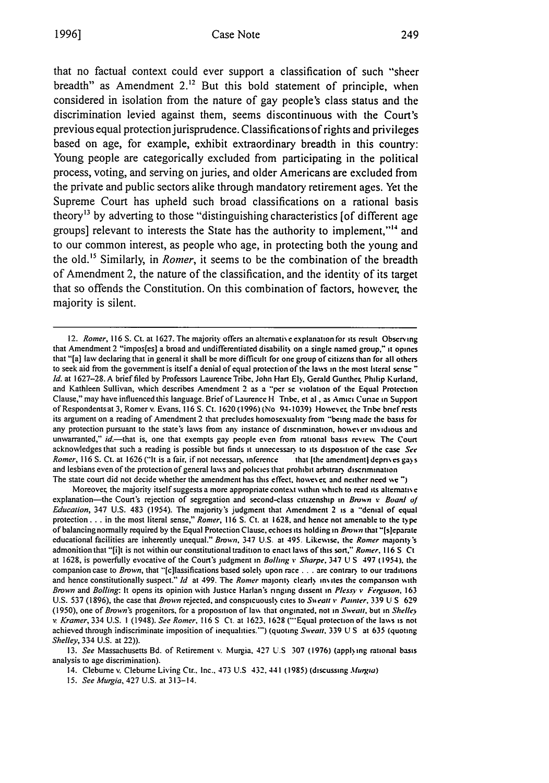that no factual context could ever support a classification of such "sheer breadth" as Amendment  $2<sup>12</sup>$  But this bold statement of principle, when considered in isolation from the nature of gay people's class status and the discrimination levied against them, seems discontinuous with the Court's previous equal protection jurisprudence. Classifications of rights and privileges based on age, for example, exhibit extraordinary breadth in this country: Young people are categorically excluded from participating in the political process, voting, and serving on juries, and older Americans are excluded from the private and public sectors alike through mandatory retirement ages. Yet the Supreme Court has upheld such broad classifications on a rational basis theory<sup>13</sup> by adverting to those "distinguishing characteristics [of different age groups] relevant to interests the State has the authority to implement,"'" and to our common interest, as people who age, in protecting both the young and the old.<sup>15</sup> Similarly, in *Romer*, it seems to be the combination of the breadth of Amendment 2, the nature of the classification, and the identity of its target that so offends the Constitution. On this combination of factors, however; the majority is silent.

Moreover, the majority itself suggests a more appropriate context within which to read its alternative explanation-the Court's rejection of segregation and second-class citizenship in *Bruwn v Board of Education,* 347 U.S. 483 (1954). The majority's judgment that Amendment 2 is a\* "denial of equal protection.., in the most literal sense," *Romer,* 116 S. Ct. at 1628. and hence not amenable to the type of balancing normally required by the Equal Protection Clause, echoes its holding in *Brown* that "[s]eparate educational facilities are inherently unequal." Brown, 347 **U.S.** at 495. Likewise, the Romer majority's admonition that "[it is not within our constitutional tradition to enact laws of this sort," Romer, **116 S Ct** at 1628, is powerfully evocative of the Court's judgment in *Bolling* **v** *Sharpe.* 347 **U S** 497 (1954). the companion case to *Brown,* that "[c]lassifications based sole) upon race **...** are contrar, to our traditions and hence constitutionally suspect." *ld* at 499. The *Romer* majority clearly invites the comparison with *Brown and Bolling: It opens its opinion with Justice Harlan's ringing dissent in Plessy v Ferguson, 163* U.S. 537 (1896), the case that *Brown* rejected, and conspicuoush, cites to *Seatt* **v** *Painter.* 339 U S 629 (1950), one *of Brown's* progenitors, for a proposition of lav that originated, not in *Swvatt,* but in *Shelley v Kramer,* 334 U.S. **1** (1948). *See* Romer, 116 **S Ct.** at 1623, 1628 ("'Equal protection of the laws is not achieved through indiscriminate imposition of inequalities."') (quoting *Sweatt,* 339 U S at 635 (quoting *Shelley,* 334 U.S. at 22)).

13. *See* Massachusetts Bd. of Retirement **v.** Murgia. 427 U.S 307 (1976) (appl)ing rational basis analysis to age discrimination).

14. Cleburne v. Cleburne Living Ctr., Inc., 473 U.S 432, 441 **(1985)** (discussing *Murgia*)

15. *See Murgia,* 427 U.S. at 313-14.

*<sup>12.</sup> Romer,* **116 S.** Ct. at 1627. The majority offers an alternati **e** explanation for its result Observing that Amendment 2 "impos[es] a broad and undifferentiated disability on a single named group," **it** opines that "[a] law declaring that in general it shall be more difficult for one group of citizens than for all others to seek aid from the government is itself a denial of equal protection of the laws in the most literal sense " *Id.* at 1627-28. A brief filed by Professors Laurence Tribe. John Hart El). Gerald Gunther. Philip Kurland. and Kathleen Sullivan, which describes Amendment 2 as a "'per se violation of the Equal Protection Clause," may have influenced this language. Brief of Laurence H Tribe. cial. as Amici Curae **in** Support of Respondentsat 3, Romer v. Evans. 116 S. Ct. 1620 (1996) (No 94-1039) Howeverc **the** Tnbe brief rests its argument on a reading of Amendment 2 that precludes homosexuality from "being made the basis for any protection pursuant to the state's laws from any instance of discrimination, however invidious and unwarranted," id.-that is, one that exempts gay people even from rational basis review. The Court acknowledges that such a reading is possible but finds **it** unnecessar, to its disposition of the case *See* Romer, 116 S. Ct. at 1626 ("It is a fair, if not necessary, inference that [the amendment] deprives gays and lesbians even of the protection of general laws and policies that prohibit arbitrary discrimination The state court did not decide whether the amendment has this effect, however, and neither need we")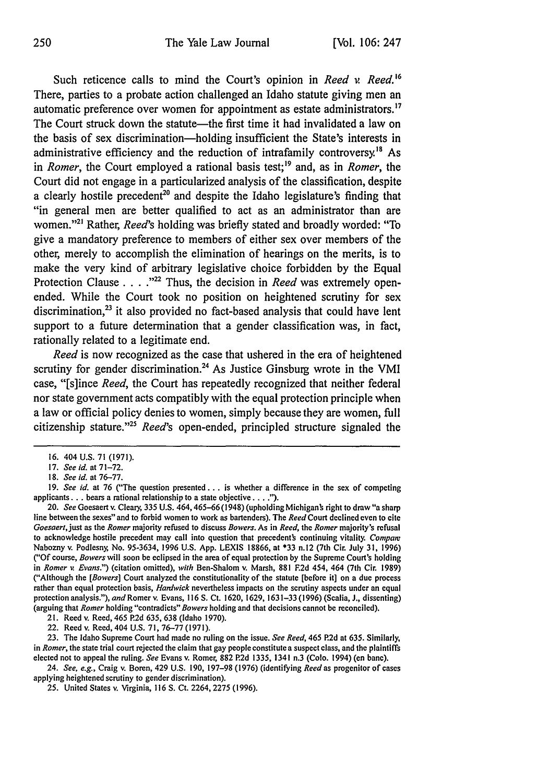Such reticence calls to mind the Court's opinion in *Reed* v. Reed.<sup>16</sup> There, parties to a probate action challenged an Idaho statute giving men an automatic preference over women for appointment as estate administrators.<sup>17</sup> The Court struck down the statute—the first time it had invalidated a law on the basis of sex discrimination-holding insufficient the State's interests in administrative efficiency and the reduction of intrafamily controversy.<sup>18</sup> As in *Romer*, the Court employed a rational basis test;<sup>19</sup> and, as in *Romer*, the Court did not engage in a particularized analysis of the classification, despite a clearly hostile precedent<sup>20</sup> and despite the Idaho legislature's finding that **"in** general men are better qualified to act as an administrator than are women."<sup>21</sup> Rather, *Reed*'s holding was briefly stated and broadly worded: "To give a mandatory preference to members of either sex over members of the other, merely to accomplish the elimination of hearings on the merits, is to make the very kind of arbitrary legislative choice forbidden **by** the Equal Protection Clause **. . . ."'** Thus, the decision in *Reed* was extremely openended. While the Court took no position on heightened scrutiny for sex discrimination, $^{23}$  it also provided no fact-based analysis that could have lent support to a future determination that a gender classification was, in fact, rationally related to a legitimate end.

*Reed* is now recognized as the case that ushered in the era of heightened scrutiny for gender discrimination.<sup>24</sup> As Justice Ginsburg wrote in the VMI case, "[s]ince *Reed,* the Court has repeatedly recognized that neither federal nor state government acts compatibly with the equal protection principle when a law or official policy denies to women, simply because they are women, **full** citizenship stature."25 *Reed's* open-ended, principled structure signaled the

21. Reed v. Reed, 465 P.2d 635, 638 (Idaho 1970).

22. Reed v. Reed, 404 U.S. 71, 76-77 (1971).

23. The Idaho Supreme Court had made no ruling on the issue. *See Reed,* 465 P.2d at **635.** Similarly, in *Romer,* the state trial court rejected the claim that gay people constitute a suspect class, and the plaintiffs elected not to appeal the ruling. *See* Evans v. Romer, 882 P.2d 1335, 1341 n.3 (Colo. 1994) (en bane).

24. *See, e.g.,* Craig v. Boren, 429 U.S. 190, 197-98 (1976) (identifying *Reed* as progenitor of cases applying heightened scrutiny to gender discrimination).

25. United States v. Virginia, 116 S. Ct. 2264, 2275 (1996).

<sup>16. 404</sup> U.S. 71 (1971).

<sup>17.</sup> *See id.* at 71-72.

*<sup>18.</sup> See id.* at 76-77.

<sup>19.</sup> *See id.* at 76 ("The question presented... is whether a difference in the sex of competing **applicants...** bears a rational relationship to a state objective **.... ).**

<sup>20.</sup> *See* Goesaert v. Cleary, *335* U.S. *464,465-66(1948)* (upholding Michiganb right to draw "a sharp line between the sexes" and to forbid women to work as bartenders). The *Reed* Court declined even to cite *Goesaert,just* as the *Romer* majority refused to discuss *Bowers.* As in *Reed,* the *Romer* majority's refusal to acknowledge hostile precedent may call into question that precedents continuing vitality. *Compatm* Nabozny v. Podlesny, No. 95-3634, 1996 U.S. App. LEXIS 18866, at \*33 n.12 (7th Cir. July 31, 1996) **("Of** course, *Bowers* will soon be eclipsed in the area of equal protection **by** the Supreme Court's holding in *Romer v. Evans.")* (citation omitted), *with* Ben-Shalom v. Marsh, 881 **F.2d** 454, 464 (7th Cir. 1989) ("Although the *[Bowers]* Court analyzed the constitutionality of the statute [before it] on **a** due process rather than equal protection basis, *Hardwick* nevertheless impacts on the scrutiny aspects under an equal protection analysis."), and Romer v. Evans, 116 S. Ct. 1620, 1629, 1631–33 (1996) (Scalia, J., dissenting) (arguing that *Romer* holding "contradicts" *Bowers* holding and that decisions cannot **be** reconciled).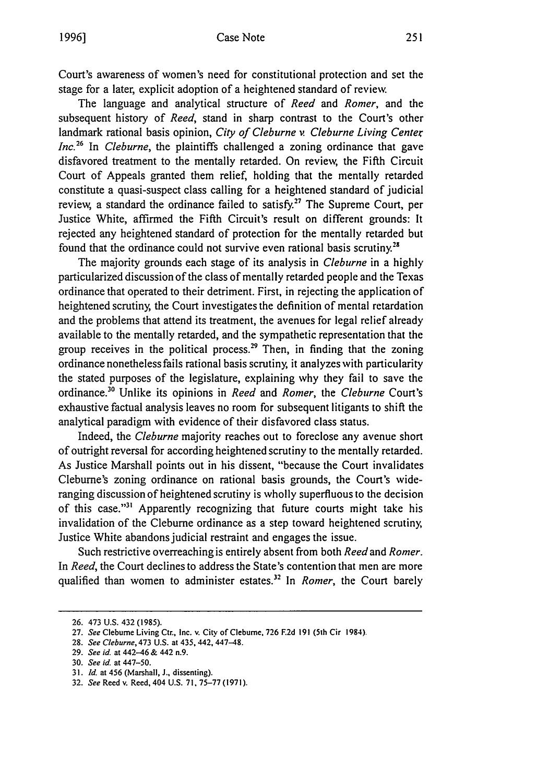Court's awareness of women's need for constitutional protection and set the stage for a later, explicit adoption of a heightened standard of review,

The language and analytical structure of *Reed and Romer,* and the subsequent history of *Reed,* stand in sharp contrast to the Court's other landmark rational basis opinion, *City of Cleburne v. Cleburne Living Center Inc.26* In *Cleburne,* the plaintiffs challenged a zoning ordinance that gave disfavored treatment to the mentally retarded. On review, the Fifth Circuit Court of Appeals granted them relief, holding that the mentally retarded constitute a quasi-suspect class calling for a heightened standard of judicial review, a standard the ordinance failed to satisfy.<sup>27</sup> The Supreme Court, per Justice White, affirmed the Fifth Circuit's result on different grounds: It rejected any heightened standard of protection for the mentally retarded but found that the ordinance could not survive even rational basis scrutiny.<sup>28</sup>

The majority grounds each stage of its analysis in *Cleburne* in a highly particularized discussion of the class of mentally retarded people and the Texas ordinance that operated to their detriment. First, in rejecting the application of heightened scrutiny, the Court investigates the definition of mental retardation and the problems that attend its treatment, the avenues for legal relief already available to the mentally retarded, and the sympathetic representation that the group receives in the political process.<sup>29</sup> Then, in finding that the zoning ordinance nonetheless fails rational basis scrutiny, it analyzes with particularity the stated purposes of the legislature, explaining why they fail to save the ordinance."0 Unlike its opinions in *Reed and Romer, the Cleburne* Court's exhaustive factual analysis leaves no room for subsequent litigants to shift the analytical paradigm with evidence of their disfavored class status.

Indeed, the *Cleburne* majority reaches out to foreclose any avenue short of outright reversal for according heightened scrutiny to the mentally retarded. As Justice Marshall points out in his dissent, "because the Court invalidates Cleburne's zoning ordinance on rational basis grounds, the Court's wideranging discussion of heightened scrutiny is wholly superfluous to the decision of this case."<sup>31</sup> Apparently recognizing that future courts might take his invalidation of the Cleburne ordinance as a step toward heightened scrutiny, Justice White abandons judicial restraint and engages the issue.

Such restrictive overreaching is entirely absent from both *Reed* and *Romer.* In *Reed,* the Court declines to address the State's contention that men are more qualified than women to administer estates.<sup>32</sup> In *Romer*, the Court barely

**<sup>26.</sup>** 473 U.S. 432 (1985).

**<sup>27.</sup>** *See* Clebume Living Cur., Inc. v. City of Cleburne, **726 F.2d 191 (5th** Cir 1984).

**<sup>28.</sup>** *See Cleburne,* 473 **U.S.** at 435,442, 447-48.

**<sup>29.</sup>** *See id.* at 442-46 **&** 442 n.9.

**<sup>30.</sup>** *See id.* at 447-50.

**<sup>31.</sup>** *Id.* at 456 (Marshall, **J.,** dissenting).

**<sup>32.</sup>** *See* Reed v. Reed, 404 **U.S. 71, 75-77 (1971).**